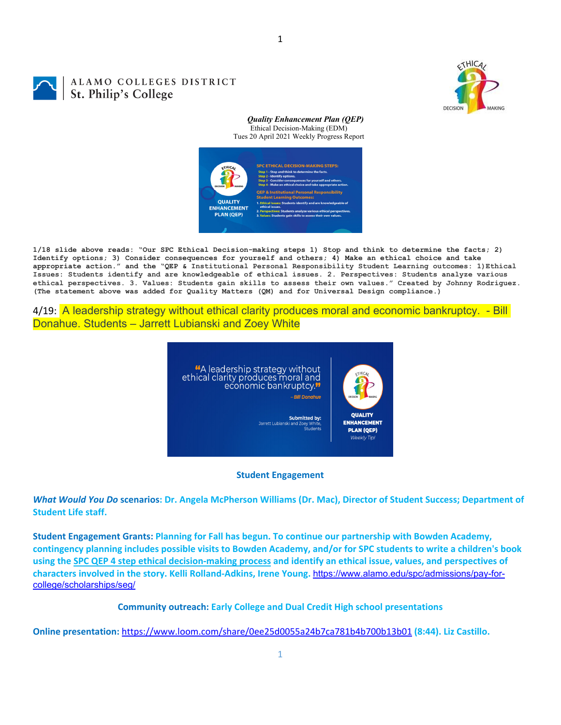

# ALAMO COLLEGES DISTRICT St. Philip's College

*Quality Enhancement Plan (QEP)* Ethical Decision-Making (EDM) Tues 20 April 2021 Weekly Progress Report



1

**1/18 slide above reads: "Our SPC Ethical Decision-making steps 1) Stop and think to determine the facts; 2) Identify options; 3) Consider consequences for yourself and others; 4) Make an ethical choice and take appropriate action." and the "QEP & Institutional Personal Responsibility Student Learning outcomes: 1)Ethical Issues: Students identify and are knowledgeable of ethical issues. 2. Perspectives: Students analyze various ethical perspectives. 3. Values: Students gain skills to assess their own values." Created by Johnny Rodriguez. (The statement above was added for Quality Matters (QM) and for Universal Design compliance.)**

4/19: A leadership strategy without ethical clarity produces moral and economic bankruptcy. - Bill Donahue. Students – Jarrett Lubianski and Zoey White



### **Student Engagement**

What Would You Do scenarios: Dr. Angela McPherson Williams (Dr. Mac), Director of Student Success; Department of **Student Life staff.**

**Student Engagement Grants: Planning for Fall has begun. To continue our partnership with Bowden Academy,** contingency planning includes possible visits to Bowden Academy, and/or for SPC students to write a children's book using the SPC QEP 4 step ethical decision-making process and identify an ethical issue, values, and perspectives of **characters involved in the story. Kelli Rolland‐Adkins, Irene Young.** https://www.alamo.edu/spc/admissions/pay-forcollege/scholarships/seg/

**Community outreach: Early College and Dual Credit High school presentations**

**Online presentation:** https://www.loom.com/share/0ee25d0055a24b7ca781b4b700b13b01 **(8:44). Liz Castillo.**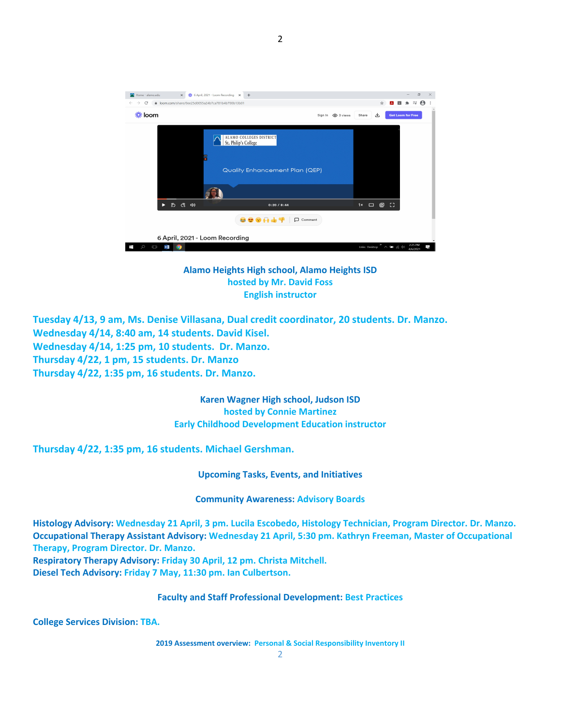| 卷 6 April, 2021 - Loom Recording x +<br>Home - alamo.edu<br>$\times$                    |                                                                                   |                   |                                           |      | $\Box$                   | $\times$ |
|-----------------------------------------------------------------------------------------|-----------------------------------------------------------------------------------|-------------------|-------------------------------------------|------|--------------------------|----------|
| ● loom.com/share/0ee25d0055a24b7ca781b4b700b13b01<br>C<br>$\rightarrow$<br>$\leftarrow$ |                                                                                   |                   | ☆                                         | ᅛ    | $\equiv \Theta$          |          |
|                                                                                         |                                                                                   | Sign In @ 3 views | 也<br>Share                                |      | <b>Get Loom for Free</b> |          |
| ₩                                                                                       | ALAMO COLLEGES DISTRICT<br>St. Philip's College<br>Quality Enhancement Plan (QEP) |                   |                                           |      |                          |          |
|                                                                                         |                                                                                   |                   |                                           |      |                          |          |
| 約 (答 中)<br>►                                                                            | 0:20/8:44                                                                         |                   | 1x<br>$\Box$<br>⋓                         | - 03 |                          |          |
| 800H47<br>Comment                                                                       |                                                                                   |                   |                                           |      |                          |          |
| 6 April, 2021 - Loom Recording                                                          |                                                                                   |                   |                                           |      |                          |          |
| $\Box$<br>w                                                                             |                                                                                   |                   | $^{50}$<br>Links Desktop $\sim$ 90 (6.44) |      | 2:25 PM<br>4/6/2021      | 5        |

## **Alamo Heights High school, Alamo Heights ISD hosted by Mr. David Foss English instructor**

**Tuesday 4/13, 9 am, Ms. Denise Villasana, Dual credit coordinator, 20 students. Dr. Manzo. Wednesday 4/14, 8:40 am, 14 students. David Kisel. Wednesday 4/14, 1:25 pm, 10 students. Dr. Manzo. Thursday 4/22, 1 pm, 15 students. Dr. Manzo Thursday 4/22, 1:35 pm, 16 students. Dr. Manzo.**

> **Karen Wagner High school, Judson ISD hosted by Connie Martinez Early Childhood Development Education instructor**

**Thursday 4/22, 1:35 pm, 16 students. Michael Gershman.**

**Upcoming Tasks, Events, and Initiatives**

**Community Awareness: Advisory Boards**

**Histology Advisory: Wednesday 21 April, 3 pm. Lucila Escobedo, Histology Technician, Program Director. Dr. Manzo. Occupational Therapy Assistant Advisory: Wednesday 21 April, 5:30 pm. Kathryn Freeman, Master of Occupational Therapy, Program Director. Dr. Manzo.**

**Respiratory Therapy Advisory: Friday 30 April, 12 pm. Christa Mitchell. Diesel Tech Advisory: Friday 7 May, 11:30 pm. Ian Culbertson.**

## **Faculty and Staff Professional Development: Best Practices**

**College Services Division: TBA.**

**2019 Assessment overview: Personal & Social Responsibility Inventory II**